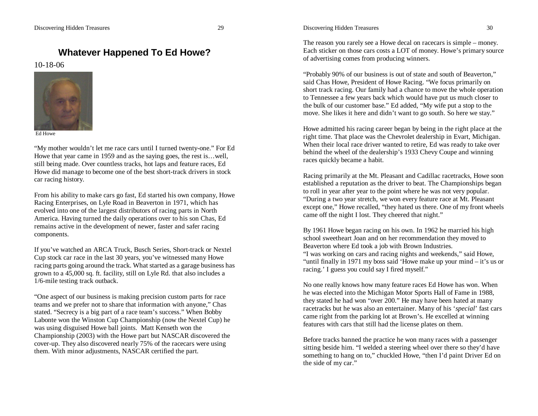## **Whatever Happened To Ed Howe?**

## 10-18-06



Ed Howe

"My mother wouldn't let me race cars until I turned twenty-one." For Ed Howe that year came in 1959 and as the saying goes, the rest is…well, still being made. Over countless tracks, hot laps and feature races, Ed Howe did manage to become one of the best short-track drivers in stock car racing history.

From his ability to make cars go fast, Ed started his own company, Howe Racing Enterprises, on Lyle Road in Beaverton in 1971, which has evolved into one of the largest distributors of racing parts in North America. Having turned the daily operations over to his son Chas, Ed remains active in the development of newer, faster and safer racing components.

If you've watched an ARCA Truck, Busch Series, Short-track or Nextel Cup stock car race in the last 30 years, you've witnessed many Howe racing parts going around the track. What started as a garage business has grown to a 45,000 sq. ft. facility, still on Lyle Rd. that also includes a 1/6-mile testing track outback.

"One aspect of our business is making precision custom parts for race teams and we prefer not to share that information with anyone," Chas stated. "Secrecy is a big part of a race team's success." When Bobby Labonte won the Winston Cup Championship (now the Nextel Cup) he was using disguised Howe ball joints. Matt Kenseth won the Championship (2003) with the Howe part but NASCAR discovered the cover-up. They also discovered nearly 75% of the racecars were using them. With minor adjustments, NASCAR certified the part.

The reason you rarely see a Howe decal on racecars is simple – money. Each sticker on those cars costs a LOT of money. Howe's primary source of advertising comes from producing winners.

"Probably 90% of our business is out of state and south of Beaverton," said Chas Howe, President of Howe Racing. "We focus primarily on short track racing. Our family had a chance to move the whole operation to Tennessee a few years back which would have put us much closer to the bulk of our customer base." Ed added, "My wife put a stop to the move. She likes it here and didn't want to go south. So here we stay."

Howe admitted his racing career began by being in the right place at the right time. That place was the Chevrolet dealership in Evart, Michigan. When their local race driver wanted to retire, Ed was ready to take over behind the wheel of the dealership's 1933 Chevy Coupe and winning races quickly became a habit.

Racing primarily at the Mt. Pleasant and Cadillac racetracks, Howe soon established a reputation as the driver to beat. The Championships began to roll in year after year to the point where he was not very popular. "During a two year stretch, we won every feature race at Mt. Pleasant except one," Howe recalled, "they hated us there. One of my front wheels came off the night I lost. They cheered that night."

By 1961 Howe began racing on his own. In 1962 he married his high school sweetheart Joan and on her recommendation they moved to Beaverton where Ed took a job with Brown Industries. "I was working on cars and racing nights and weekends," said Howe, "until finally in 1971 my boss said 'Howe make up your mind – it's us or racing.' I guess you could say I fired myself."

No one really knows how many feature races Ed Howe has won. When he was elected into the Michigan Motor Sports Hall of Fame in 1988, they stated he had won "over 200." He may have been hated at many racetracks but he was also an entertainer. Many of his '*special*' fast cars came right from the parking lot at Brown's. He excelled at winning features with cars that still had the license plates on them.

Before tracks banned the practice he won many races with a passenger sitting beside him. "I welded a steering wheel over there so they'd have something to hang on to," chuckled Howe, "then I'd paint Driver Ed on the side of my car."